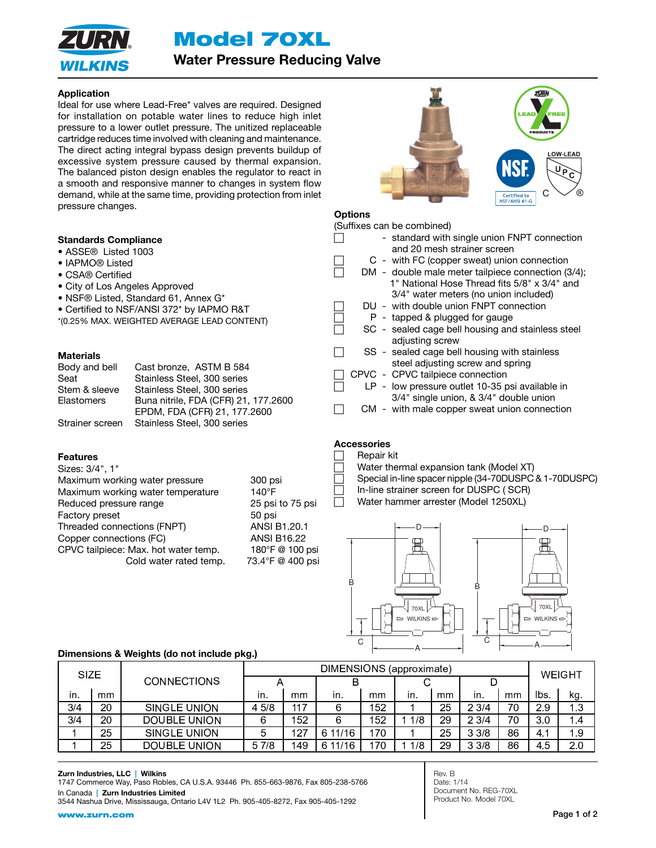Model 70XL



Water Pressure Reducing Valve

# Application

Ideal for use where Lead-Free\* valves are required. Designed for installation on potable water lines to reduce high inlet pressure to a lower outlet pressure. The unitized replaceable cartridge reduces time involved with cleaning and maintenance. The direct acting integral bypass design prevents buildup of excessive system pressure caused by thermal expansion. The balanced piston design enables the regulator to react in a smooth and responsive manner to changes in system flow demand, while at the same time, providing protection from inlet pressure changes.

### Standards Compliance

- ASSE® Listed 1003
- IAPMO® Listed
- CSA® Certified
- City of Los Angeles Approved
- NSF® Listed, Standard 61, Annex G\*
- Certified to NSF/ANSI 372\* by IAPMO R&T
- \*(0.25% MAX. WEIGHTED AVERAGE LEAD CONTENT)

### **Materials**

| Body and bell   | Cast bronze, ASTM B 584              |
|-----------------|--------------------------------------|
| Seat            | Stainless Steel, 300 series          |
| Stem & sleeve   | Stainless Steel, 300 series          |
| Elastomers      | Buna nitrile, FDA (CFR) 21, 177.2600 |
|                 | EPDM, FDA (CFR) 21, 177.2600         |
| Strainer screen | Stainless Steel, 300 series          |

### Features

| Sizes: 3/4", 1"                      |                    |  |
|--------------------------------------|--------------------|--|
| Maximum working water pressure       | 300 psi            |  |
| Maximum working water temperature    | $140^\circ F$      |  |
| Reduced pressure range               | 25 psi to 75 psi   |  |
| Factory preset                       | 50 psi             |  |
| Threaded connections (FNPT)          | ANSI B1.20.1       |  |
| Copper connections (FC)              | <b>ANSI B16.22</b> |  |
| CPVC tailpiece: Max. hot water temp. | 180°F @ 100 psi    |  |
| Cold water rated temp.               | 73.4°F @ 400 psi   |  |
|                                      |                    |  |



# **Options**

|  | (Suffixes can be combined)                         |
|--|----------------------------------------------------|
|  | - standard with single union FNPT connection       |
|  | and 20 mesh strainer screen                        |
|  | C - with FC (copper sweat) union connection        |
|  | DM - double male meter tailpiece connection (3/4); |
|  | 1" National Hose Thread fits 5/8" x 3/4" and       |
|  | 3/4" water meters (no union included)              |
|  | DU - with double union FNPT connection             |
|  | $P -$ tapped & plugged for gauge                   |
|  | SC - sealed cage bell housing and stainless steel  |
|  | adjusting screw                                    |
|  | SS - sealed cage bell housing with stainless       |
|  | steel adjusting screw and spring                   |
|  | CPVC - CPVC tailpiece connection                   |
|  | LP - low pressure outlet 10-35 psi available in    |
|  | 3/4" single union, & 3/4" double union             |
|  | CM - with male copper sweat union connection       |

# Accessories

# **Repair kit**

Water thermal expansion tank (Model XT) Special in-line spacer nipple (34-70DUSPC & 1-70DUSPC) In-line strainer screen for DUSPC ( SCR) Water hammer arrester (Model 1250XL)

70XL WILKINS A C 70XL WILKINS B D D B A C

### Dimensions & Weights (do not include pkg.)

| <b>SIZE</b> |    |                     | DIMENSIONS (approximate) |     |         |     |     |    |      |    |        |                |
|-------------|----|---------------------|--------------------------|-----|---------|-----|-----|----|------|----|--------|----------------|
|             |    | <b>CONNECTIONS</b>  |                          |     |         |     |     |    |      |    | WEIGHT |                |
| in.         | mm |                     | ın.                      | mm  | in.     | mm  | in. | mm | in.  | mm | lbs.   | kg.            |
| 3/4         | 20 | <b>SINGLE UNION</b> | 45/8                     | 117 | 6       | 152 |     | 25 | 23/4 | 70 | 2.9    | 1.3            |
| 3/4         | 20 | <b>DOUBLE UNION</b> | 6                        | 152 | 6       | 152 | 1/8 | 29 | 23/4 | 70 | 3.0    | $\blacksquare$ |
|             | 25 | <b>SINGLE UNION</b> | 5                        | 127 | 6 11/16 | 170 |     | 25 | 33/8 | 86 | 4.1    | 1.9            |
|             | 25 | <b>DOUBLE UNION</b> | 5 7/8                    | 149 | 6 11/16 | 170 | 1/8 | 29 | 33/8 | 86 | 4.5    | 2.0            |

#### Zurn Industries, LLC | Wilkins

1747 Commerce Way, Paso Robles, CA U.S.A. 93446 Ph. 855-663-9876, Fax 805-238-5766 In Canada | Zurn Industries Limited

3544 Nashua Drive, Mississauga, Ontario L4V 1L2 Ph. 905-405-8272, Fax 905-405-1292